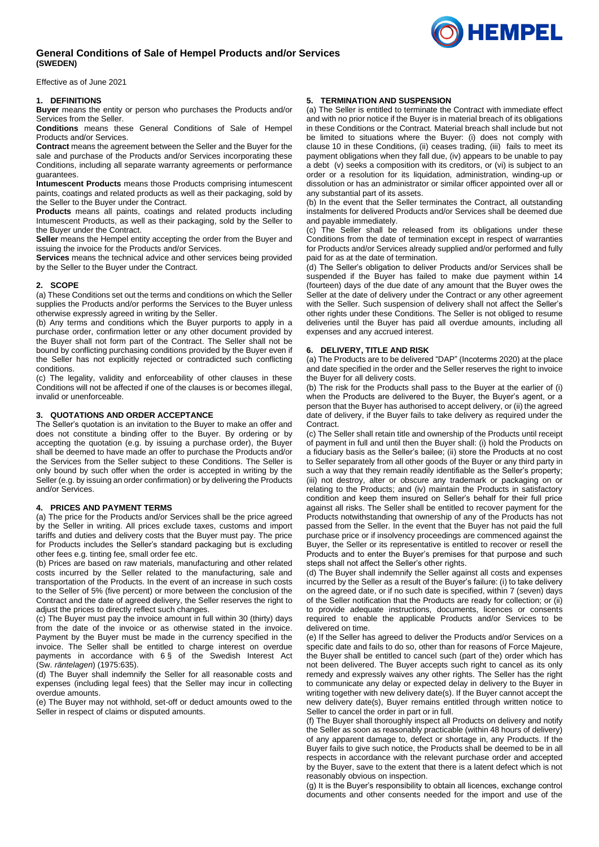# **General Conditions of Sale of Hempel Products and/or Services (SWEDEN)**

Effective as of June 2021

## **1. DEFINITIONS**

**Buyer** means the entity or person who purchases the Products and/or Services from the Seller.

**Conditions** means these General Conditions of Sale of Hempel Products and/or Services.

**Contract** means the agreement between the Seller and the Buyer for the sale and purchase of the Products and/or Services incorporating these Conditions, including all separate warranty agreements or performance guarantees.

**Intumescent Products** means those Products comprising intumescent paints, coatings and related products as well as their packaging, sold by the Seller to the Buyer under the Contract.

**Products** means all paints, coatings and related products including Intumescent Products, as well as their packaging, sold by the Seller to the Buyer under the Contract.

**Seller** means the Hempel entity accepting the order from the Buyer and issuing the invoice for the Products and/or Services.

**Services** means the technical advice and other services being provided by the Seller to the Buyer under the Contract.

## **2. SCOPE**

(a) These Conditions set out the terms and conditions on which the Seller supplies the Products and/or performs the Services to the Buyer unless otherwise expressly agreed in writing by the Seller.

(b) Any terms and conditions which the Buyer purports to apply in a purchase order, confirmation letter or any other document provided by the Buyer shall not form part of the Contract. The Seller shall not be bound by conflicting purchasing conditions provided by the Buyer even if the Seller has not explicitly rejected or contradicted such conflicting conditions.

(c) The legality, validity and enforceability of other clauses in these Conditions will not be affected if one of the clauses is or becomes illegal, invalid or unenforceable.

# **3. QUOTATIONS AND ORDER ACCEPTANCE**

The Seller's quotation is an invitation to the Buyer to make an offer and does not constitute a binding offer to the Buyer. By ordering or by accepting the quotation (e.g. by issuing a purchase order), the Buyer shall be deemed to have made an offer to purchase the Products and/or the Services from the Seller subject to these Conditions. The Seller is only bound by such offer when the order is accepted in writing by the Seller (e.g. by issuing an order confirmation) or by delivering the Products and/or Services.

### **4. PRICES AND PAYMENT TERMS**

(a) The price for the Products and/or Services shall be the price agreed by the Seller in writing. All prices exclude taxes, customs and import tariffs and duties and delivery costs that the Buyer must pay. The price for Products includes the Seller's standard packaging but is excluding other fees e.g. tinting fee, small order fee etc.

(b) Prices are based on raw materials, manufacturing and other related costs incurred by the Seller related to the manufacturing, sale and transportation of the Products. In the event of an increase in such costs to the Seller of 5% (five percent) or more between the conclusion of the Contract and the date of agreed delivery, the Seller reserves the right to adjust the prices to directly reflect such changes.

(c) The Buyer must pay the invoice amount in full within 30 (thirty) days from the date of the invoice or as otherwise stated in the invoice. Payment by the Buyer must be made in the currency specified in the invoice. The Seller shall be entitled to charge interest on overdue payments in accordance with 6 § of the Swedish Interest Act (Sw. *räntelagen*) (1975:635).

(d) The Buyer shall indemnify the Seller for all reasonable costs and expenses (including legal fees) that the Seller may incur in collecting overdue amounts.

(e) The Buyer may not withhold, set-off or deduct amounts owed to the Seller in respect of claims or disputed amounts.

# **5. TERMINATION AND SUSPENSION**

(a) The Seller is entitled to terminate the Contract with immediate effect and with no prior notice if the Buyer is in material breach of its obligations in these Conditions or the Contract. Material breach shall include but not be limited to situations where the Buyer: (i) does not comply with clause 10 in these Conditions, (ii) ceases trading, (iii) fails to meet its payment obligations when they fall due, (iv) appears to be unable to pay a debt (v) seeks a composition with its creditors, or (vi) is subject to an order or a resolution for its liquidation, administration, winding-up or dissolution or has an administrator or similar officer appointed over all or any substantial part of its assets.

(b) In the event that the Seller terminates the Contract, all outstanding instalments for delivered Products and/or Services shall be deemed due and payable immediately.

(c) The Seller shall be released from its obligations under these Conditions from the date of termination except in respect of warranties for Products and/or Services already supplied and/or performed and fully paid for as at the date of termination.

(d) The Seller's obligation to deliver Products and/or Services shall be suspended if the Buyer has failed to make due payment within 14 (fourteen) days of the due date of any amount that the Buyer owes the Seller at the date of delivery under the Contract or any other agreement with the Seller. Such suspension of delivery shall not affect the Seller's other rights under these Conditions. The Seller is not obliged to resume deliveries until the Buyer has paid all overdue amounts, including all expenses and any accrued interest.

## **6. DELIVERY, TITLE AND RISK**

(a) The Products are to be delivered "DAP" (Incoterms 2020) at the place and date specified in the order and the Seller reserves the right to invoice the Buyer for all delivery costs.

(b) The risk for the Products shall pass to the Buyer at the earlier of (i) when the Products are delivered to the Buyer, the Buyer's agent, or a person that the Buyer has authorised to accept delivery, or (ii) the agreed date of delivery, if the Buyer fails to take delivery as required under the Contract.

(c) The Seller shall retain title and ownership of the Products until receipt of payment in full and until then the Buyer shall: (i) hold the Products on a fiduciary basis as the Seller's bailee; (ii) store the Products at no cost to Seller separately from all other goods of the Buyer or any third party in such a way that they remain readily identifiable as the Seller's property; (iii) not destroy, alter or obscure any trademark or packaging on or relating to the Products; and (iv) maintain the Products in satisfactory condition and keep them insured on Seller's behalf for their full price against all risks. The Seller shall be entitled to recover payment for the Products notwithstanding that ownership of any of the Products has not passed from the Seller. In the event that the Buyer has not paid the full purchase price or if insolvency proceedings are commenced against the Buyer, the Seller or its representative is entitled to recover or resell the Products and to enter the Buyer's premises for that purpose and such steps shall not affect the Seller's other rights.

(d) The Buyer shall indemnify the Seller against all costs and expenses incurred by the Seller as a result of the Buyer's failure: (i) to take delivery on the agreed date, or if no such date is specified, within 7 (seven) days of the Seller notification that the Products are ready for collection; or (ii) to provide adequate instructions, documents, licences or consents required to enable the applicable Products and/or Services to be delivered on time.

(e) If the Seller has agreed to deliver the Products and/or Services on a specific date and fails to do so, other than for reasons of Force Majeure, the Buyer shall be entitled to cancel such (part of the) order which has not been delivered. The Buyer accepts such right to cancel as its only remedy and expressly waives any other rights. The Seller has the right to communicate any delay or expected delay in delivery to the Buyer in writing together with new delivery date(s). If the Buyer cannot accept the new delivery date(s), Buyer remains entitled through written notice to Seller to cancel the order in part or in full.

(f) The Buyer shall thoroughly inspect all Products on delivery and notify the Seller as soon as reasonably practicable (within 48 hours of delivery) of any apparent damage to, defect or shortage in, any Products. If the Buyer fails to give such notice, the Products shall be deemed to be in all respects in accordance with the relevant purchase order and accepted by the Buyer, save to the extent that there is a latent defect which is not reasonably obvious on inspection.

(g) It is the Buyer's responsibility to obtain all licences, exchange control documents and other consents needed for the import and use of the

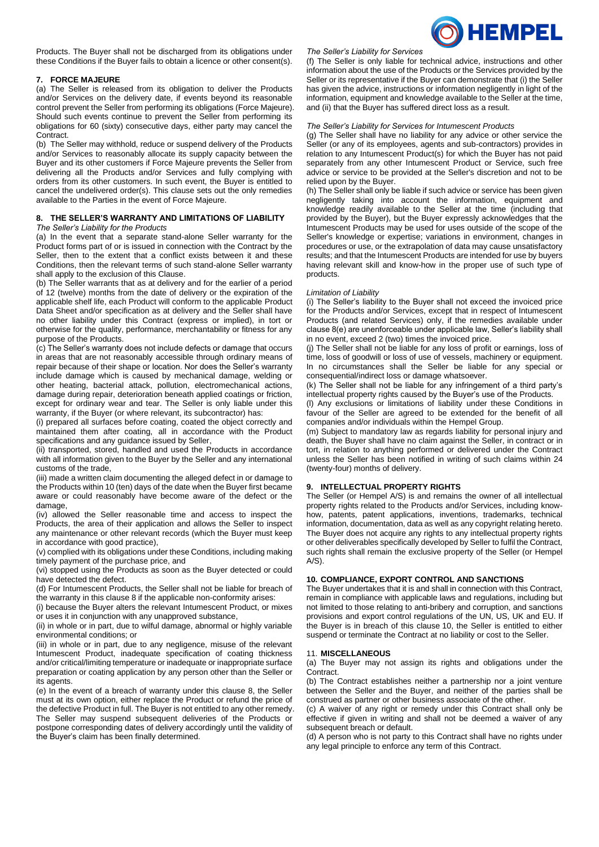

Products. The Buyer shall not be discharged from its obligations under these Conditions if the Buyer fails to obtain a licence or other consent(s).

## **7. FORCE MAJEURE**

(a) The Seller is released from its obligation to deliver the Products and/or Services on the delivery date, if events beyond its reasonable control prevent the Seller from performing its obligations (Force Majeure). Should such events continue to prevent the Seller from performing its obligations for 60 (sixty) consecutive days, either party may cancel the Contract.

(b) The Seller may withhold, reduce or suspend delivery of the Products and/or Services to reasonably allocate its supply capacity between the Buyer and its other customers if Force Majeure prevents the Seller from delivering all the Products and/or Services and fully complying with orders from its other customers. In such event, the Buyer is entitled to cancel the undelivered order(s). This clause sets out the only remedies available to the Parties in the event of Force Majeure.

# **8. THE SELLER'S WARRANTY AND LIMITATIONS OF LIABILITY**

*The Seller's Liability for the Products*

(a) In the event that a separate stand-alone Seller warranty for the Product forms part of or is issued in connection with the Contract by the Seller, then to the extent that a conflict exists between it and these Conditions, then the relevant terms of such stand-alone Seller warranty shall apply to the exclusion of this Clause.

(b) The Seller warrants that as at delivery and for the earlier of a period of 12 (twelve) months from the date of delivery or the expiration of the applicable shelf life, each Product will conform to the applicable Product Data Sheet and/or specification as at delivery and the Seller shall have no other liability under this Contract (express or implied), in tort or otherwise for the quality, performance, merchantability or fitness for any purpose of the Products.

(c) The Seller's warranty does not include defects or damage that occurs in areas that are not reasonably accessible through ordinary means of repair because of their shape or location. Nor does the Seller's warranty include damage which is caused by mechanical damage, welding or other heating, bacterial attack, pollution, electromechanical actions, damage during repair, deterioration beneath applied coatings or friction, except for ordinary wear and tear. The Seller is only liable under this warranty, if the Buyer (or where relevant, its subcontractor) has:

(i) prepared all surfaces before coating, coated the object correctly and maintained them after coating, all in accordance with the Product specifications and any guidance issued by Seller,

(ii) transported, stored, handled and used the Products in accordance with all information given to the Buyer by the Seller and any international customs of the trade,

(iii) made a written claim documenting the alleged defect in or damage to the Products within 10 (ten) days of the date when the Buyer first became aware or could reasonably have become aware of the defect or the damage,

(iv) allowed the Seller reasonable time and access to inspect the Products, the area of their application and allows the Seller to inspect any maintenance or other relevant records (which the Buyer must keep in accordance with good practice),

(v) complied with its obligations under these Conditions, including making timely payment of the purchase price, and

(vi) stopped using the Products as soon as the Buyer detected or could have detected the defect.

(d) For Intumescent Products, the Seller shall not be liable for breach of the warranty in this clause 8 if the applicable non-conformity arises:

(i) because the Buyer alters the relevant Intumescent Product, or mixes or uses it in conjunction with any unapproved substance,

(ii) in whole or in part, due to wilful damage, abnormal or highly variable environmental conditions; or

(iii) in whole or in part, due to any negligence, misuse of the relevant Intumescent Product, inadequate specification of coating thickness and/or critical/limiting temperature or inadequate or inappropriate surface preparation or coating application by any person other than the Seller or its agents

(e) In the event of a breach of warranty under this clause 8, the Seller must at its own option, either replace the Product or refund the price of the defective Product in full. The Buyer is not entitled to any other remedy. The Seller may suspend subsequent deliveries of the Products or postpone corresponding dates of delivery accordingly until the validity of the Buyer's claim has been finally determined.

### *The Seller's Liability for Services*

(f) The Seller is only liable for technical advice, instructions and other information about the use of the Products or the Services provided by the Seller or its representative if the Buyer can demonstrate that (i) the Seller has given the advice, instructions or information negligently in light of the information, equipment and knowledge available to the Seller at the time, and (ii) that the Buyer has suffered direct loss as a result.

## *The Seller's Liability for Services for Intumescent Products*

(g) The Seller shall have no liability for any advice or other service the Seller (or any of its employees, agents and sub-contractors) provides in relation to any Intumescent Product(s) for which the Buyer has not paid separately from any other Intumescent Product or Service, such free advice or service to be provided at the Seller's discretion and not to be relied upon by the Buyer.

(h) The Seller shall only be liable if such advice or service has been given negligently taking into account the information, equipment and knowledge readily available to the Seller at the time (including that provided by the Buyer), but the Buyer expressly acknowledges that the Intumescent Products may be used for uses outside of the scope of the Seller's knowledge or expertise; variations in environment, changes in procedures or use, or the extrapolation of data may cause unsatisfactory results; and that the Intumescent Products are intended for use by buyers having relevant skill and know-how in the proper use of such type of products.

#### *Limitation of Liability*

(i) The Seller's liability to the Buyer shall not exceed the invoiced price for the Products and/or Services, except that in respect of Intumescent Products (and related Services) only, if the remedies available under clause 8(e) are unenforceable under applicable law, Seller's liability shall in no event, exceed 2 (two) times the invoiced price.

(j) The Seller shall not be liable for any loss of profit or earnings, loss of time, loss of goodwill or loss of use of vessels, machinery or equipment. In no circumstances shall the Seller be liable for any special or consequential/indirect loss or damage whatsoever.

(k) The Seller shall not be liable for any infringement of a third party's intellectual property rights caused by the Buyer's use of the Products.

(l) Any exclusions or limitations of liability under these Conditions in favour of the Seller are agreed to be extended for the benefit of all companies and/or individuals within the Hempel Group.

(m) Subject to mandatory law as regards liability for personal injury and death, the Buyer shall have no claim against the Seller, in contract or in tort, in relation to anything performed or delivered under the Contract unless the Seller has been notified in writing of such claims within 24 (twenty-four) months of delivery.

### **9. INTELLECTUAL PROPERTY RIGHTS**

The Seller (or Hempel A/S) is and remains the owner of all intellectual property rights related to the Products and/or Services, including knowhow, patents, patent applications, inventions, trademarks, technical information, documentation, data as well as any copyright relating hereto. The Buyer does not acquire any rights to any intellectual property rights or other deliverables specifically developed by Seller to fulfil the Contract, such rights shall remain the exclusive property of the Seller (or Hempel  $A/S$ ).

## **10. COMPLIANCE, EXPORT CONTROL AND SANCTIONS**

The Buyer undertakes that it is and shall in connection with this Contract, remain in compliance with applicable laws and regulations, including but not limited to those relating to anti-bribery and corruption, and sanctions provisions and export control regulations of the UN, US, UK and EU. If the Buyer is in breach of this clause 10, the Seller is entitled to either suspend or terminate the Contract at no liability or cost to the Seller.

### 11. **MISCELLANEOUS**

(a) The Buyer may not assign its rights and obligations under the **Contract.** 

(b) The Contract establishes neither a partnership nor a joint venture between the Seller and the Buyer, and neither of the parties shall be construed as partner or other business associate of the other.

(c) A waiver of any right or remedy under this Contract shall only be effective if given in writing and shall not be deemed a waiver of any subsequent breach or default.

(d) A person who is not party to this Contract shall have no rights under any legal principle to enforce any term of this Contract.